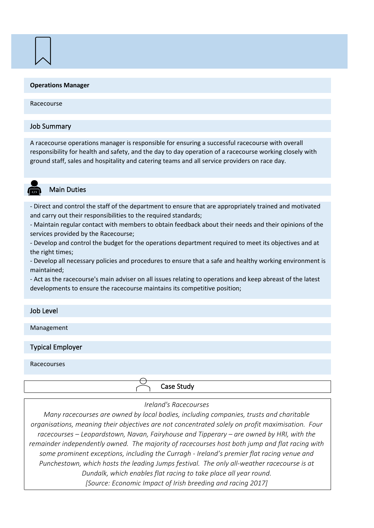#### **Operations Manager**

#### Racecourse

#### Job Summary

A racecourse operations manager is responsible for ensuring a successful racecourse with overall responsibility for health and safety, and the day to day operation of a racecourse working closely with ground staff, sales and hospitality and catering teams and all service providers on race day.

## Main Duties

- Direct and control the staff of the department to ensure that are appropriately trained and motivated and carry out their responsibilities to the required standards;

- Maintain regular contact with members to obtain feedback about their needs and their opinions of the services provided by the Racecourse;

- Develop and control the budget for the operations department required to meet its objectives and at the right times;

- Develop all necessary policies and procedures to ensure that a safe and healthy working environment is maintained;

- Act as the racecourse's main adviser on all issues relating to operations and keep abreast of the latest developments to ensure the racecourse maintains its competitive position;

# Job Level

Management

# Typical Employer

#### Racecourses

Case Study

#### *Ireland's Racecourses*

*Many racecourses are owned by local bodies, including companies, trusts and charitable organisations, meaning their objectives are not concentrated solely on profit maximisation. Four racecourses – Leopardstown, Navan, Fairyhouse and Tipperary – are owned by HRI, with the remainder independently owned. The majority of racecourses host both jump and flat racing with some prominent exceptions, including the Curragh - Ireland's premier flat racing venue and Punchestown, which hosts the leading Jumps festival. The only all-weather racecourse is at Dundalk, which enables flat racing to take place all year round. [Source: Economic Impact of Irish breeding and racing 2017]*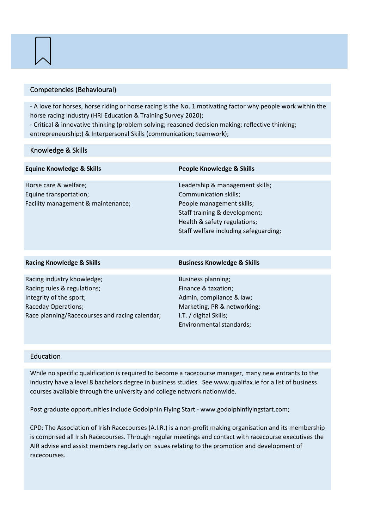## Competencies (Behavioural)

- A love for horses, horse riding or horse racing is the No. 1 motivating factor why people work within the horse racing industry (HRI Education & Training Survey 2020);

- Critical & innovative thinking (problem solving; reasoned decision making; reflective thinking; entrepreneurship;) & Interpersonal Skills (communication; teamwork);

# Knowledge & Skills

| <b>Equine Knowledge &amp; Skills</b>                                                  | <b>People Knowledge &amp; Skills</b>                                                                                                                                                            |
|---------------------------------------------------------------------------------------|-------------------------------------------------------------------------------------------------------------------------------------------------------------------------------------------------|
| Horse care & welfare;<br>Equine transportation;<br>Facility management & maintenance; | Leadership & management skills;<br>Communication skills;<br>People management skills;<br>Staff training & development;<br>Health & safety regulations;<br>Staff welfare including safeguarding; |
|                                                                                       |                                                                                                                                                                                                 |
| <b>Racing Knowledge &amp; Skills</b>                                                  | <b>Business Knowledge &amp; Skills</b>                                                                                                                                                          |
|                                                                                       |                                                                                                                                                                                                 |
| Racing industry knowledge;                                                            | Business planning;                                                                                                                                                                              |
| Racing rules & regulations;                                                           | Finance & taxation;                                                                                                                                                                             |
| Integrity of the sport;                                                               | Admin, compliance & law;                                                                                                                                                                        |
| Raceday Operations;                                                                   | Marketing, PR & networking;                                                                                                                                                                     |
| Race planning/Racecourses and racing calendar;                                        | I.T. / digital Skills;                                                                                                                                                                          |
|                                                                                       | Environmental standards;                                                                                                                                                                        |

# Education

While no specific qualification is required to become a racecourse manager, many new entrants to the industry have a level 8 bachelors degree in business studies. See www.qualifax.ie for a list of business courses available through the university and college network nationwide.

Post graduate opportunities include Godolphin Flying Start - www.godolphinflyingstart.com;

CPD: The Association of Irish Racecourses (A.I.R.) is a non-profit making organisation and its membership is comprised all Irish Racecourses. Through regular meetings and contact with racecourse executives the AIR advise and assist members regularly on issues relating to the promotion and development of racecourses.